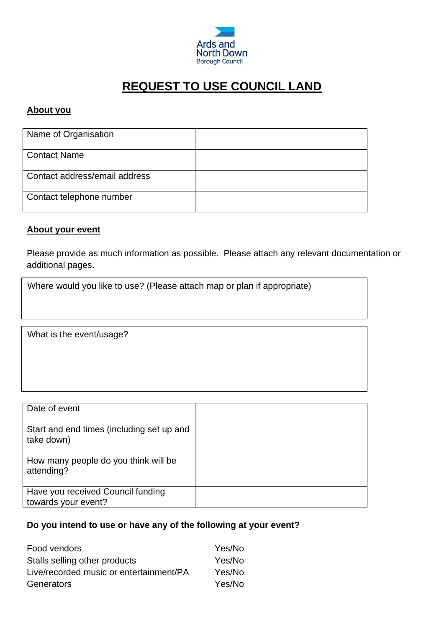

# **REQUEST TO USE COUNCIL LAND**

### **About you**

| Name of Organisation          |  |
|-------------------------------|--|
| <b>Contact Name</b>           |  |
| Contact address/email address |  |
| Contact telephone number      |  |

#### **About your event**

Please provide as much information as possible. Please attach any relevant documentation or additional pages.

Where would you like to use? (Please attach map or plan if appropriate)

What is the event/usage?

| Date of event                                            |  |
|----------------------------------------------------------|--|
| Start and end times (including set up and<br>take down)  |  |
| How many people do you think will be<br>attending?       |  |
| Have you received Council funding<br>towards your event? |  |

#### **Do you intend to use or have any of the following at your event?**

| Food vendors                            | Yes/No |
|-----------------------------------------|--------|
| Stalls selling other products           | Yes/No |
| Live/recorded music or entertainment/PA | Yes/No |
| Generators                              | Yes/No |
|                                         |        |